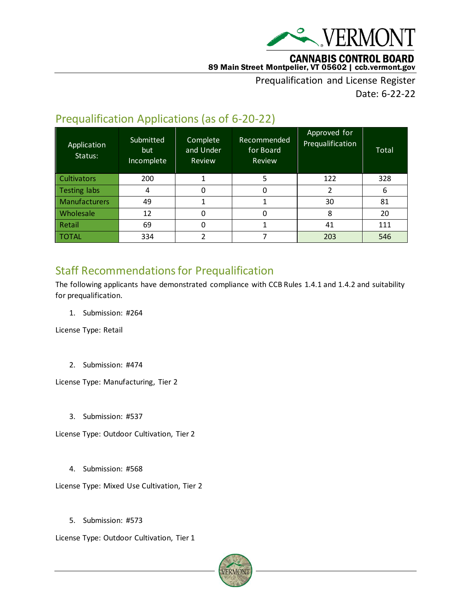

#### **CANNABIS CONTROL BOARD** 89 Main Street Montpelier, VT 05602 | ccb.vermont.gov

Prequalification and License Register Date: 6-22-22

# Prequalification Applications (as of 6-20-22)

| Application<br>Status: | Submitted<br>but<br>Incomplete | Complete<br>and Under<br>Review | Recommended<br>for Board<br>Review | Approved for<br>Prequalification | Total |
|------------------------|--------------------------------|---------------------------------|------------------------------------|----------------------------------|-------|
| <b>Cultivators</b>     | 200                            |                                 | 5                                  | 122                              | 328   |
| <b>Testing labs</b>    | 4                              | 0                               | 0                                  | 2                                | 6     |
| <b>Manufacturers</b>   | 49                             |                                 |                                    | 30                               | 81    |
| Wholesale              | 12                             | O                               | 0                                  | 8                                | 20    |
| Retail                 | 69                             | 0                               |                                    | 41                               | 111   |
| TOTAL                  | 334                            |                                 |                                    | 203                              | 546   |

# Staff Recommendations for Prequalification

The following applicants have demonstrated compliance with CCB Rules 1.4.1 and 1.4.2 and suitability for prequalification.

1. Submission: #264

License Type: Retail

2. Submission: #474

License Type: Manufacturing, Tier 2

3. Submission: #537

License Type: Outdoor Cultivation, Tier 2

4. Submission: #568

License Type: Mixed Use Cultivation, Tier 2

5. Submission: #573

License Type: Outdoor Cultivation, Tier 1

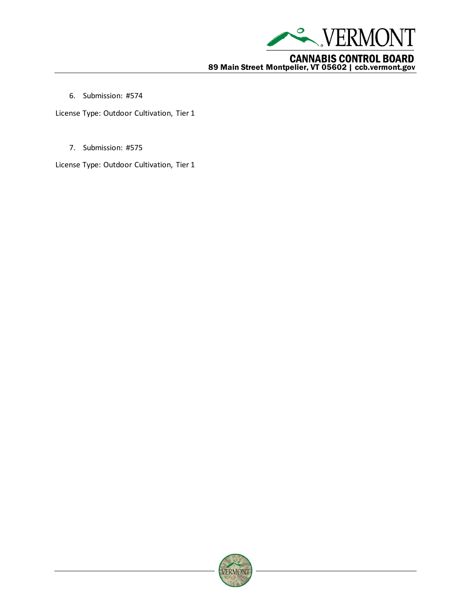

**CANNABIS CONTROL BOARD**<br>89 Main Street Montpelier, VT 05602 | ccb.vermont.gov

6. Submission: #574

License Type: Outdoor Cultivation, Tier 1

7. Submission: #575

License Type: Outdoor Cultivation, Tier 1

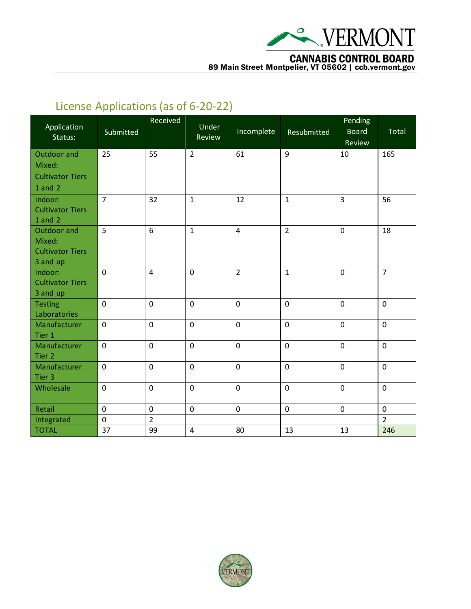

**CANNABIS CONTROL BOARD**<br>89 Main Street Montpelier, VT 05602 | ccb.vermont.gov

# License Applications (as of 6-20-22)

| Application<br>Status:  | Submitted           | Received       | Under<br>Review | Incomplete              | Resubmitted    | Pending<br><b>Board</b><br>Review | Total          |
|-------------------------|---------------------|----------------|-----------------|-------------------------|----------------|-----------------------------------|----------------|
|                         |                     |                |                 |                         |                |                                   |                |
| Outdoor and             | 25                  | 55             | $\overline{2}$  | 61                      | 9              | 10                                | 165            |
| Mixed:                  |                     |                |                 |                         |                |                                   |                |
| <b>Cultivator Tiers</b> |                     |                |                 |                         |                |                                   |                |
| $1$ and $2$             |                     |                |                 |                         |                |                                   |                |
| Indoor:                 | $\overline{7}$      | 32             | $\mathbf{1}$    | 12                      | $\mathbf{1}$   | 3                                 | 56             |
| <b>Cultivator Tiers</b> |                     |                |                 |                         |                |                                   |                |
| $1$ and $2$             |                     |                |                 |                         |                |                                   |                |
| Outdoor and             | 5                   | 6              | $\mathbf{1}$    | $\overline{\mathbf{4}}$ | $\overline{2}$ | $\mathbf 0$                       | 18             |
| Mixed:                  |                     |                |                 |                         |                |                                   |                |
| <b>Cultivator Tiers</b> |                     |                |                 |                         |                |                                   |                |
| 3 and up                |                     |                |                 |                         |                |                                   |                |
| Indoor:                 | $\mathbf 0$         | $\overline{4}$ | $\mathbf 0$     | $\overline{2}$          | $\mathbf{1}$   | $\mathbf 0$                       | $\overline{7}$ |
| <b>Cultivator Tiers</b> |                     |                |                 |                         |                |                                   |                |
| 3 and up                |                     |                |                 |                         |                |                                   |                |
| <b>Testing</b>          | $\pmb{0}$           | $\mathbf 0$    | $\mathbf 0$     | $\pmb{0}$               | $\mathbf 0$    | $\mathbf 0$                       | $\mathbf 0$    |
| Laboratories            |                     |                |                 |                         |                |                                   |                |
| Manufacturer            | $\pmb{0}$           | $\mathbf 0$    | $\mathbf 0$     | $\pmb{0}$               | $\mathbf 0$    | $\mathbf 0$                       | $\mathbf 0$    |
| Tier 1                  |                     |                |                 |                         |                |                                   |                |
| Manufacturer            | $\mathbf 0$         | $\mathbf 0$    | $\mathbf 0$     | $\mathbf 0$             | $\mathbf 0$    | $\mathbf 0$                       | $\mathbf 0$    |
| Tier 2                  |                     |                |                 |                         | $\mathbf 0$    |                                   | $\mathbf 0$    |
| Manufacturer<br>Tier 3  | $\mathbf 0$         | $\mathbf 0$    | $\mathbf 0$     | $\mathbf 0$             |                | $\mathbf 0$                       |                |
| Wholesale               | $\mathbf 0$         | $\mathbf 0$    | $\mathbf 0$     | $\mathbf 0$             | $\mathbf 0$    | $\mathbf 0$                       | $\mathbf 0$    |
|                         |                     |                |                 |                         |                |                                   |                |
| Retail                  | $\mathsf{O}\xspace$ | $\pmb{0}$      | $\mathbf 0$     | $\pmb{0}$               | $\mathbf 0$    | $\pmb{0}$                         | $\mathsf 0$    |
| Integrated              | $\mathbf 0$         | $\overline{2}$ |                 |                         |                |                                   | $\overline{2}$ |
| <b>TOTAL</b>            | 37                  | 99             | $\overline{4}$  | 80                      | 13             | 13                                | 246            |

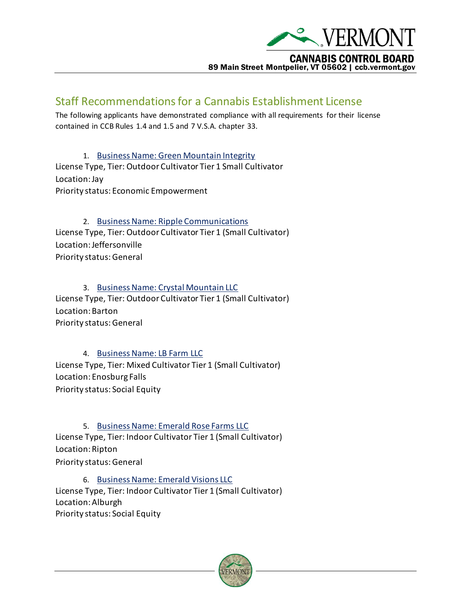

### Staff Recommendations for a Cannabis Establishment License

The following applicants have demonstrated compliance with all requirements for their license contained in CCB Rules 1.4 and 1.5 and 7 V.S.A. chapter 33.

1. [Business Name: Green Mountain Integrity](https://vermont.lightning.force.com/lightning/r/Submission__c/a4dt0000001yUPwAAM/view) License Type, Tier: Outdoor Cultivator Tier 1 Small Cultivator Location: Jay Priority status: Economic Empowerment

2. [Business Name: Ripple Communications](https://vermont.lightning.force.com/lightning/r/Submission__c/a4dt0000001yU82AAE/view) License Type, Tier: Outdoor Cultivator Tier 1 (Small Cultivator) Location: Jeffersonville Priority status: General

3. [Business Name: Crystal Mountain LLC](https://vermont.lightning.force.com/lightning/r/Submission__c/a4dt0000001yU3WAAU/view) License Type, Tier: Outdoor Cultivator Tier 1 (Small Cultivator) Location: Barton Priority status: General

## 4. [Business Name: LB Farm LLC](https://vermont.lightning.force.com/lightning/r/Submission__c/a4dt0000001yUAcAAM/view)

License Type, Tier: Mixed Cultivator Tier 1 (Small Cultivator) Location: Enosburg Falls Priority status: Social Equity

5. [Business Name: Emerald Rose Farms LLC](https://vermont.lightning.force.com/lightning/r/Submission__c/a4dt0000001yU0IAAU/view) License Type, Tier: Indoor Cultivator Tier 1 (Small Cultivator) Location: Ripton Priority status: General

6. [Business Name: Emerald Visions LLC](https://vermont.lightning.force.com/lightning/r/Submission__c/a4dt0000001yU24AAE/view) License Type, Tier: Indoor Cultivator Tier 1 (Small Cultivator) Location: Alburgh Priority status: Social Equity

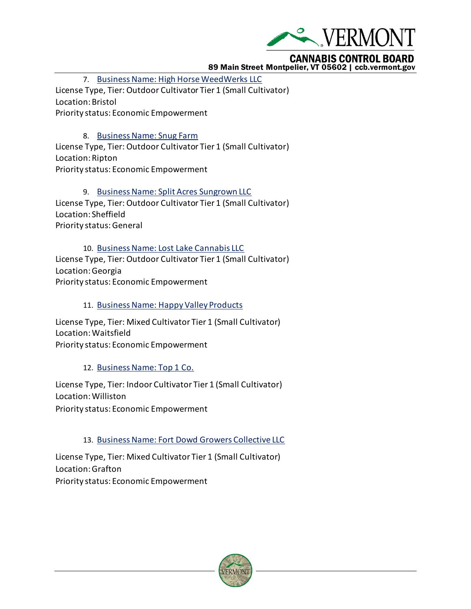

## **CANNABIS CONTROL BOARD**

#### 89 Main Street Montpelier, VT 05602 | ccb.vermont.gov

7. [Business Name: High Horse WeedWerks LLC](https://vermont.lightning.force.com/lightning/r/Submission__c/a4dt0000001yUBkAAM/view) License Type, Tier: Outdoor Cultivator Tier 1 (Small Cultivator) Location: Bristol Priority status: Economic Empowerment

#### 8. [Business Name: Snug Farm](https://vermont.lightning.force.com/lightning/r/Submission__c/a4dt0000001yUFIAA2/view)

License Type, Tier: Outdoor Cultivator Tier 1 (Small Cultivator) Location: Ripton Priority status: Economic Empowerment

9. [Business Name: Split Acres Sungrown LLC](https://vermont.lightning.force.com/lightning/r/Submission__c/a4dt0000001yU45AAE/view) License Type, Tier: Outdoor Cultivator Tier 1 (Small Cultivator) Location: Sheffield Priority status: General

10. [Business Name: Lost Lake Cannabis LLC](https://vermont.lightning.force.com/lightning/r/Submission__c/a4dt0000001yV7FAAU/view) License Type, Tier: Outdoor Cultivator Tier 1 (Small Cultivator) Location: Georgia Priority status: Economic Empowerment

11. Business Name[: Happy Valley Products](https://vermont.lightning.force.com/lightning/r/Submission__c/a4dt0000001yULzAAM/view)

License Type, Tier: Mixed Cultivator Tier 1 (Small Cultivator) Location: Waitsfield Priority status: Economic Empowerment

### 12. [Business Name: Top 1 Co.](https://vermont.lightning.force.com/lightning/r/Submission__c/a4dt0000001yUFmAAM/view)

License Type, Tier: Indoor Cultivator Tier 1 (Small Cultivator) Location: Williston Priority status: Economic Empowerment

### 13. [Business Name: Fort Dowd Growers Collective LLC](https://vermont.lightning.force.com/lightning/r/Submission__c/a4dt0000001yUvTAAU/view)

License Type, Tier: Mixed Cultivator Tier 1 (Small Cultivator) Location: Grafton Priority status: Economic Empowerment